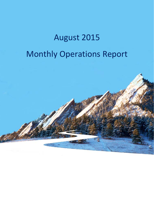# August 2015 Monthly Operations Report

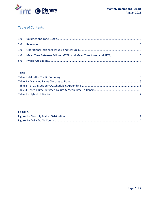

## **Table of Contents**

#### **TABLES**

#### **FIGURES**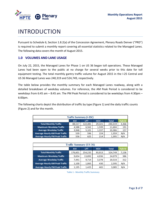

# INTRODUCTION

Pursuant to Schedule 6, Section 1.8.2(a) of the Concession Agreement, Plenary Roads Denver ("PRD") is required to submit a monthly report covering all essential statistics related to the Managed Lanes. The following data covers the month of August 2015.

#### **1.0 VOLUMES AND LANE USAGE**

On July 22, 2015, the Managed Lanes for Phase 1 on US 36 began toll operations. These Managed Lanes had been open to the public at no charge for several weeks prior to this date for toll equipment testing. The total monthly gantry traffic volume for August 2015 in the I‐25 Central and US 36 Managed Lanes was 240,319 and 524,749, respectively.

The table below provides the monthly summary for each Managed Lanes roadway, along with a detailed breakdown of weekday volumes. For reference, the AM Peak Period is considered to be weekdays from 6:45 am – 8:45 am. The PM Peak Period is considered to be weekdays from 4:30pm – 6:00pm.

The following charts depict the distribution of traffic by type (Figure 1) and the daily traffic counts (Figure 2) and for the month.

| <b>Traffic Summary (I-25C)</b>                                   |        |         |        |         |       |  |  |
|------------------------------------------------------------------|--------|---------|--------|---------|-------|--|--|
| Hybrid<br><b>LPT</b><br><b>HOV</b><br><b>AVI</b><br><b>Total</b> |        |         |        |         |       |  |  |
| <b>Total Monthly Traffic</b>                                     | 88,517 | 122,481 | 29,321 | 240,319 | 3,366 |  |  |
| <b>Maximum Weekday Traffic</b>                                   | 4,588  | 6,562   | 1,599  | 11,604  | 191   |  |  |
| <b>Average Weekday Traffic</b>                                   | 3,948  | 5,101   | 1,337  | 10,386  | 157   |  |  |
| <b>Average Hourly AM Peak Traffic</b>                            | 539    | 596     | 224    | 1,359   | N/A   |  |  |
| <b>Average Hourly PM Peak Traffic</b>                            | 556    | 625     | 214    | 1,395   | N/A   |  |  |

| <b>Traffic Summary (US 36)</b>                                          |         |         |        |         |       |  |  |
|-------------------------------------------------------------------------|---------|---------|--------|---------|-------|--|--|
| <b>Hybrid</b><br><b>AVI</b><br><b>HOV</b><br><b>Total</b><br><b>LPT</b> |         |         |        |         |       |  |  |
| <b>Total Monthly Traffic</b>                                            | 176,601 | 254,235 | 93,913 | 524,749 | 7,158 |  |  |
| Maximum Weekday Traffic                                                 | 9,654   | 13,892  | 4,036  | 24.079  | 386   |  |  |
| <b>Average Weekday Traffic</b>                                          | 7.441   | 9,714   | 3,378  | 20,533  | 312   |  |  |
| <b>Average Hourly AM Peak Traffic</b>                                   | 1,100   | 1,065   | 430    | 2,595   | N/A   |  |  |
| <b>Average Hourly PM Peak Traffic</b>                                   | 1,195   | 1,425   | 465    | 3,085   | N/A   |  |  |

|  |  |  | <b>Table 1 - Monthly Traffic Summary</b> |
|--|--|--|------------------------------------------|
|--|--|--|------------------------------------------|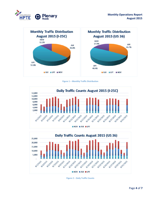



**Figure 1 – Monthly Traffic Distribution**





**Figure 2 – Daily Traffic Counts**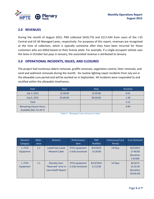

#### **2.0 REVENUES**

During the month of August 2015, PRD collected \$410,776 and \$117,434 from users of the I-25 Central and US 36 Managed Lanes, respectively. For purposes of this report, revenues are recognized at the time of collection, which is typically sometime after they have been incurred for those customers who are billed based on their license plate. For example, if a single‐occupant vehicle uses the lanes in October but pays in January, the associated revenue is attributed to January.

#### **3.0 OPERATIONAL INCIDENTS, ISSUES, AND CLOSURES**

The project had numerous debris removals, graffiti removals, vegetation control, litter removals, and sand and sediment removals during the month. Six routine lighting repair incidents from July are in the allowable cure period and will be worked on in September. All incidents were responded to and rectified within the allowable timeframes.

| Date                                                       | <b>Start</b> | <b>Stop</b> | <b>Duration</b> |
|------------------------------------------------------------|--------------|-------------|-----------------|
| July 3, 2015                                               | 12:58:00     | 13:39:00    | 0:41            |
| July 6, 2015                                               | 05:00:00     | 06:30:00    | 1:30            |
| <b>Total</b>                                               |              |             | 2:11            |
| <b>Remaining Closure Hours</b><br>Available (Ref: CA 29.7) |              |             | 9:49            |

**Table 2 – Managed Lanes Closures to Date**

| Element<br>Category  | Refer-<br>ence | Element                                                            | Performance<br><b>Item</b>                   | <b>PRD</b><br><b>Notified</b> | <b>Contractual Cure</b><br>Period | Cure Achieved                                 |
|----------------------|----------------|--------------------------------------------------------------------|----------------------------------------------|-------------------------------|-----------------------------------|-----------------------------------------------|
| 1. ETCS<br>Equipment | 1.1            | Lowell East-Loose<br><b>Network Cable</b>                          | <b>ETCS</b> equipment<br>is fully functional | 8/2/2015<br>15:20:00          | 14 Days                           | 8/2/2015<br>17:40:00<br>(Duration:<br>2:20:00 |
| 1. ETCS<br>Equipment | 1.1            | <b>Sheridan East-</b><br>"Reserved" error in<br>Lane Health Report | <b>ETCS</b> equipment<br>is fully functional | 8/13/2015<br>11:12:00         | 14 Days                           | 8/13/15<br>15:15:20<br>(Duration:<br>04:03:20 |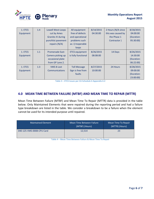

| 1. ETCS<br>Equipment | 1.4 | Lowell West-Loops<br>cut by Ames<br><b>Granite JV during</b><br>punchlist pavement<br>repairs $(N/A)$ | All equipment<br>free of defects<br>and operational<br>problems such<br>as: i) Inoperable | 8/14/2015<br>04:30:00 | 2 Hours (N/A since<br>this was caused by<br>the Phase 1<br>Contractor) | 8/18/2015<br>04:00:00<br>(Duration:<br>95:30:00) |
|----------------------|-----|-------------------------------------------------------------------------------------------------------|-------------------------------------------------------------------------------------------|-----------------------|------------------------------------------------------------------------|--------------------------------------------------|
|                      |     |                                                                                                       | loops                                                                                     |                       |                                                                        |                                                  |
| 1. ETCS              | 1.1 | <b>Promenade East-</b>                                                                                | <b>ETCS</b> equipment                                                                     | 8/26/2015             | 14 Days                                                                | 8/26/2015                                        |
| Equipment            |     | Camera picking up                                                                                     | is fully functional                                                                       | 08:08:00              |                                                                        | 14:30:00                                         |
|                      |     | occasional plate                                                                                      |                                                                                           |                       |                                                                        | (Duration:                                       |
|                      |     | from GP Lane 2.                                                                                       |                                                                                           |                       |                                                                        | 06:22:00                                         |
| 1. ETCS              | 1.3 | <b>VMS 8-Lost</b>                                                                                     | <b>Toll Message</b>                                                                       | 8/27/2015             | 24 Hours                                                               | 8/28/2015                                        |
| Equipment            |     | <b>Communications</b>                                                                                 | Sign is free from                                                                         | 10:00:00              |                                                                        | 09:00:00                                         |
|                      |     |                                                                                                       | faults                                                                                    |                       |                                                                        | (Duration:                                       |
|                      |     |                                                                                                       |                                                                                           |                       |                                                                        | 23:00:00)                                        |

**Table 3 – ETCS Issues per CA Schedule 6 Appendix 6‐2**

#### **4.0 MEAN TIME BETWEEN FAILURE (MTBF) AND MEAN TIME TO REPAIR (MTTR)**

Mean Time Between Failure (MTBF) and Mean Time To Repair (MTTR) data is provided in the table below. Only Maintained Elements that were repaired during the reporting period and had a failure type breakdown are listed in the table. We consider a breakdown to be a failure when the element cannot be used for its intended purpose until repaired.

| <b>Maintained Element</b> | Mean Time Between Failure<br>(MTBF) (Hours) | Mean Time To Repair<br>(MTTR) (Hours) |
|---------------------------|---------------------------------------------|---------------------------------------|
| 040-125-VMS-0008-CPU Card | 12.514                                      | 23                                    |

**Table 4 – Mean Time Between Failure & Mean Time To Repair**